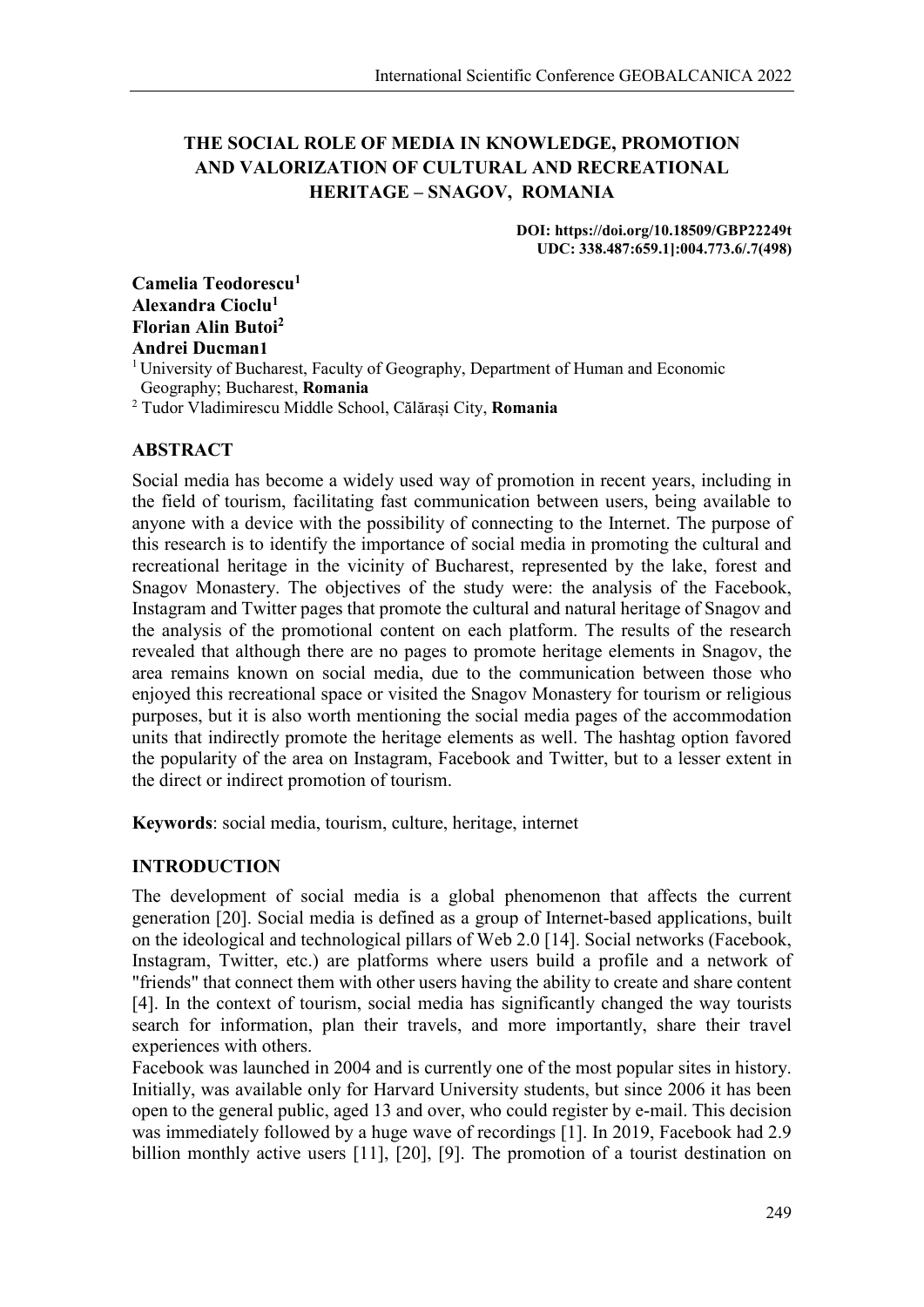# **THE SOCIAL ROLE OF MEDIA IN KNOWLEDGE, PROMOTION AND VALORIZATION OF CULTURAL AND RECREATIONAL HERITAGE – SNAGOV, ROMANIA**

**DOI: https://doi.org/10.18509/GBP22249t UDC: 338.487:659.1]:004.773.6/.7(498)**

**Camelia Teodorescu1 Alexandra Cioclu1 Florian Alin Butoi2 Andrei Ducman1**

<sup>1</sup> University of Bucharest, Faculty of Geography, Department of Human and Economic Geography; Bucharest, **Romania** <sup>2</sup> Tudor Vladimirescu Middle School, Călărași City, **Romania**

### **ABSTRACT**

Social media has become a widely used way of promotion in recent years, including in the field of tourism, facilitating fast communication between users, being available to anyone with a device with the possibility of connecting to the Internet. The purpose of this research is to identify the importance of social media in promoting the cultural and recreational heritage in the vicinity of Bucharest, represented by the lake, forest and Snagov Monastery. The objectives of the study were: the analysis of the Facebook, Instagram and Twitter pages that promote the cultural and natural heritage of Snagov and the analysis of the promotional content on each platform. The results of the research revealed that although there are no pages to promote heritage elements in Snagov, the area remains known on social media, due to the communication between those who enjoyed this recreational space or visited the Snagov Monastery for tourism or religious purposes, but it is also worth mentioning the social media pages of the accommodation units that indirectly promote the heritage elements as well. The hashtag option favored the popularity of the area on Instagram, Facebook and Twitter, but to a lesser extent in the direct or indirect promotion of tourism.

**Keywords**: social media, tourism, culture, heritage, internet

## **INTRODUCTION**

The development of social media is a global phenomenon that affects the current generation [20]. Social media is defined as a group of Internet-based applications, built on the ideological and technological pillars of Web 2.0 [14]. Social networks (Facebook, Instagram, Twitter, etc.) are platforms where users build a profile and a network of "friends" that connect them with other users having the ability to create and share content [4]. In the context of tourism, social media has significantly changed the way tourists search for information, plan their travels, and more importantly, share their travel experiences with others.

Facebook was launched in 2004 and is currently one of the most popular sites in history. Initially, was available only for Harvard University students, but since 2006 it has been open to the general public, aged 13 and over, who could register by e-mail. This decision was immediately followed by a huge wave of recordings [1]. In 2019, Facebook had 2.9 billion monthly active users [11], [20], [9]. The promotion of a tourist destination on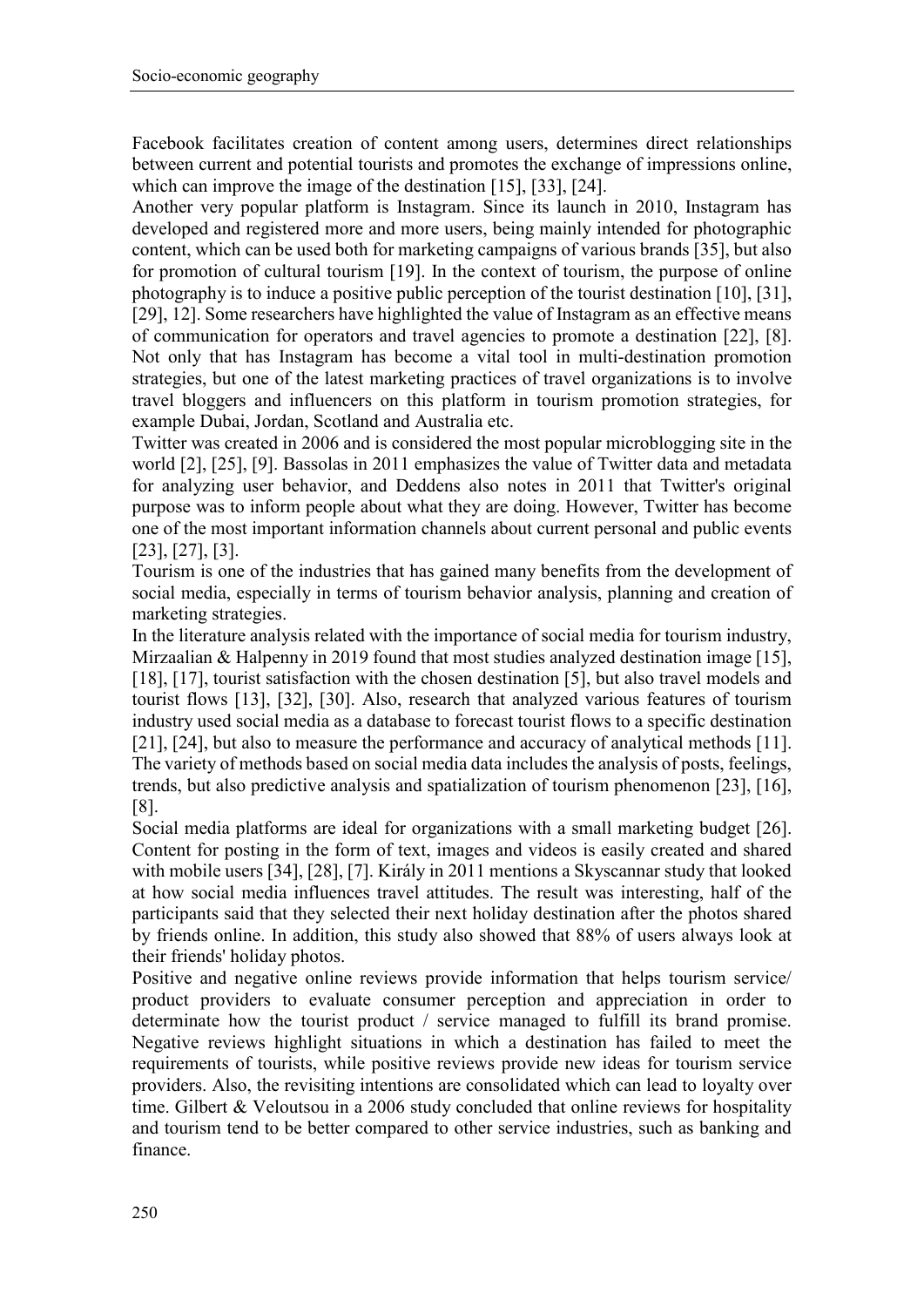Facebook facilitates creation of content among users, determines direct relationships between current and potential tourists and promotes the exchange of impressions online, which can improve the image of the destination [15], [33], [24].

Another very popular platform is Instagram. Since its launch in 2010, Instagram has developed and registered more and more users, being mainly intended for photographic content, which can be used both for marketing campaigns of various brands [35], but also for promotion of cultural tourism [19]. In the context of tourism, the purpose of online photography is to induce a positive public perception of the tourist destination [10], [31], [29], 12]. Some researchers have highlighted the value of Instagram as an effective means of communication for operators and travel agencies to promote a destination [22], [8]. Not only that has Instagram has become a vital tool in multi-destination promotion strategies, but one of the latest marketing practices of travel organizations is to involve travel bloggers and influencers on this platform in tourism promotion strategies, for example Dubai, Jordan, Scotland and Australia etc.

Twitter was created in 2006 and is considered the most popular microblogging site in the world [2], [25], [9]. Bassolas in 2011 emphasizes the value of Twitter data and metadata for analyzing user behavior, and Deddens also notes in 2011 that Twitter's original purpose was to inform people about what they are doing. However, Twitter has become one of the most important information channels about current personal and public events [23], [27], [3].

Tourism is one of the industries that has gained many benefits from the development of social media, especially in terms of tourism behavior analysis, planning and creation of marketing strategies.

In the literature analysis related with the importance of social media for tourism industry, Mirzaalian & Halpenny in 2019 found that most studies analyzed destination image [15], [18], [17], tourist satisfaction with the chosen destination [5], but also travel models and tourist flows [13], [32], [30]. Also, research that analyzed various features of tourism industry used social media as a database to forecast tourist flows to a specific destination [21], [24], but also to measure the performance and accuracy of analytical methods [11]. The variety of methods based on social media data includes the analysis of posts, feelings, trends, but also predictive analysis and spatialization of tourism phenomenon [23], [16], [8].

Social media platforms are ideal for organizations with a small marketing budget [26]. Content for posting in the form of text, images and videos is easily created and shared with mobile users [34], [28], [7]. Király in 2011 mentions a Skyscannar study that looked at how social media influences travel attitudes. The result was interesting, half of the participants said that they selected their next holiday destination after the photos shared by friends online. In addition, this study also showed that 88% of users always look at their friends' holiday photos.

Positive and negative online reviews provide information that helps tourism service/ product providers to evaluate consumer perception and appreciation in order to determinate how the tourist product / service managed to fulfill its brand promise. Negative reviews highlight situations in which a destination has failed to meet the requirements of tourists, while positive reviews provide new ideas for tourism service providers. Also, the revisiting intentions are consolidated which can lead to loyalty over time. Gilbert & Veloutsou in a 2006 study concluded that online reviews for hospitality and tourism tend to be better compared to other service industries, such as banking and finance.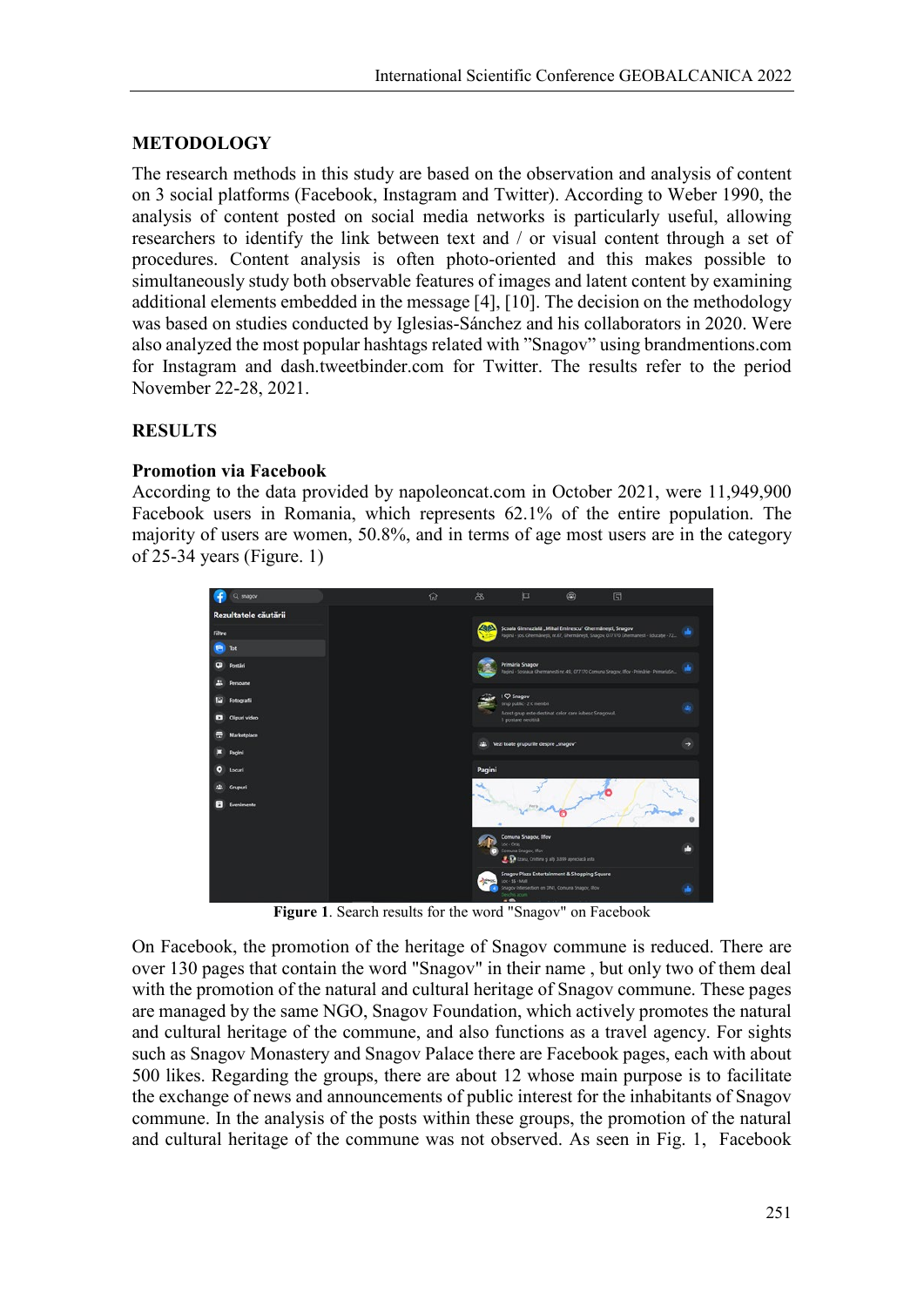## **METODOLOGY**

The research methods in this study are based on the observation and analysis of content on 3 social platforms (Facebook, Instagram and Twitter). According to Weber 1990, the analysis of content posted on social media networks is particularly useful, allowing researchers to identify the link between text and / or visual content through a set of procedures. Content analysis is often photo-oriented and this makes possible to simultaneously study both observable features of images and latent content by examining additional elements embedded in the message [4], [10]. The decision on the methodology was based on studies conducted by Iglesias-Sánchez and his collaborators in 2020. Were also analyzed the most popular hashtags related with "Snagov" using brandmentions.com for Instagram and dash.tweetbinder.com for Twitter. The results refer to the period November 22-28, 2021.

#### **RESULTS**

#### **Promotion via Facebook**

According to the data provided by napoleoncat.com in October 2021, were 11,949,900 Facebook users in Romania, which represents 62.1% of the entire population. The majority of users are women, 50.8%, and in terms of age most users are in the category of 25-34 years (Figure. 1)



**Figure 1**. Search results for the word "Snagov" on Facebook

On Facebook, the promotion of the heritage of Snagov commune is reduced. There are over 130 pages that contain the word "Snagov" in their name , but only two of them deal with the promotion of the natural and cultural heritage of Snagov commune. These pages are managed by the same NGO, Snagov Foundation, which actively promotes the natural and cultural heritage of the commune, and also functions as a travel agency. For sights such as Snagov Monastery and Snagov Palace there are Facebook pages, each with about 500 likes. Regarding the groups, there are about 12 whose main purpose is to facilitate the exchange of news and announcements of public interest for the inhabitants of Snagov commune. In the analysis of the posts within these groups, the promotion of the natural and cultural heritage of the commune was not observed. As seen in Fig. 1, Facebook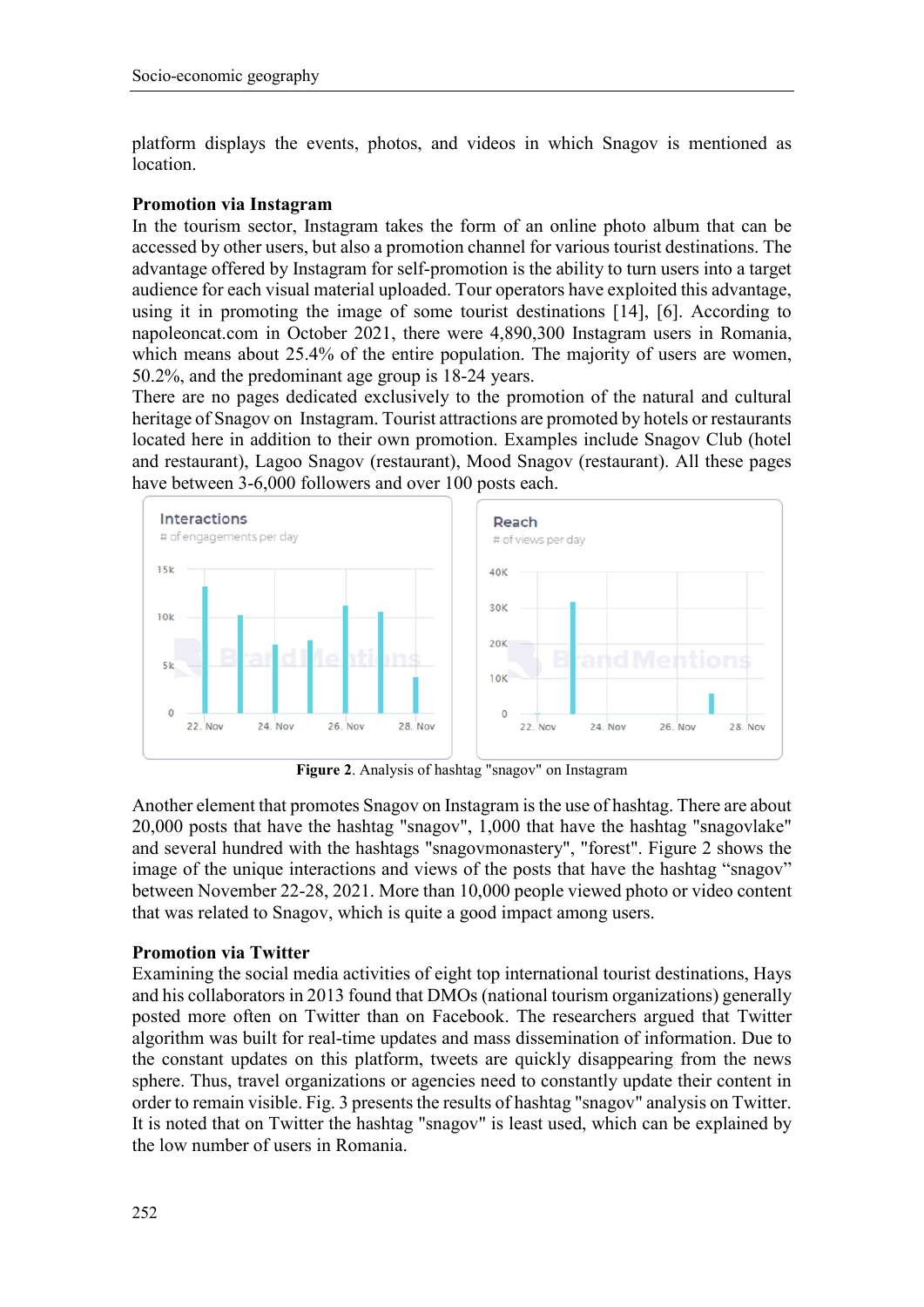platform displays the events, photos, and videos in which Snagov is mentioned as location.

#### **Promotion via Instagram**

In the tourism sector, Instagram takes the form of an online photo album that can be accessed by other users, but also a promotion channel for various tourist destinations. The advantage offered by Instagram for self-promotion is the ability to turn users into a target audience for each visual material uploaded. Tour operators have exploited this advantage, using it in promoting the image of some tourist destinations [14], [6]. According to napoleoncat.com in October 2021, there were 4,890,300 Instagram users in Romania, which means about 25.4% of the entire population. The majority of users are women, 50.2%, and the predominant age group is 18-24 years.

There are no pages dedicated exclusively to the promotion of the natural and cultural heritage of Snagov on Instagram. Tourist attractions are promoted by hotels or restaurants located here in addition to their own promotion. Examples include Snagov Club (hotel and restaurant), Lagoo Snagov (restaurant), Mood Snagov (restaurant). All these pages have between 3-6,000 followers and over 100 posts each.



**Figure 2**. Analysis of hashtag "snagov" on Instagram

Another element that promotes Snagov on Instagram is the use of hashtag. There are about 20,000 posts that have the hashtag "snagov", 1,000 that have the hashtag "snagovlake" and several hundred with the hashtags "snagovmonastery", "forest". Figure 2 shows the image of the unique interactions and views of the posts that have the hashtag "snagov" between November 22-28, 2021. More than 10,000 people viewed photo or video content that was related to Snagov, which is quite a good impact among users.

#### **Promotion via Twitter**

Examining the social media activities of eight top international tourist destinations, Hays and his collaborators in 2013 found that DMOs (national tourism organizations) generally posted more often on Twitter than on Facebook. The researchers argued that Twitter algorithm was built for real-time updates and mass dissemination of information. Due to the constant updates on this platform, tweets are quickly disappearing from the news sphere. Thus, travel organizations or agencies need to constantly update their content in order to remain visible. Fig. 3 presents the results of hashtag "snagov" analysis on Twitter. It is noted that on Twitter the hashtag "snagov" is least used, which can be explained by the low number of users in Romania.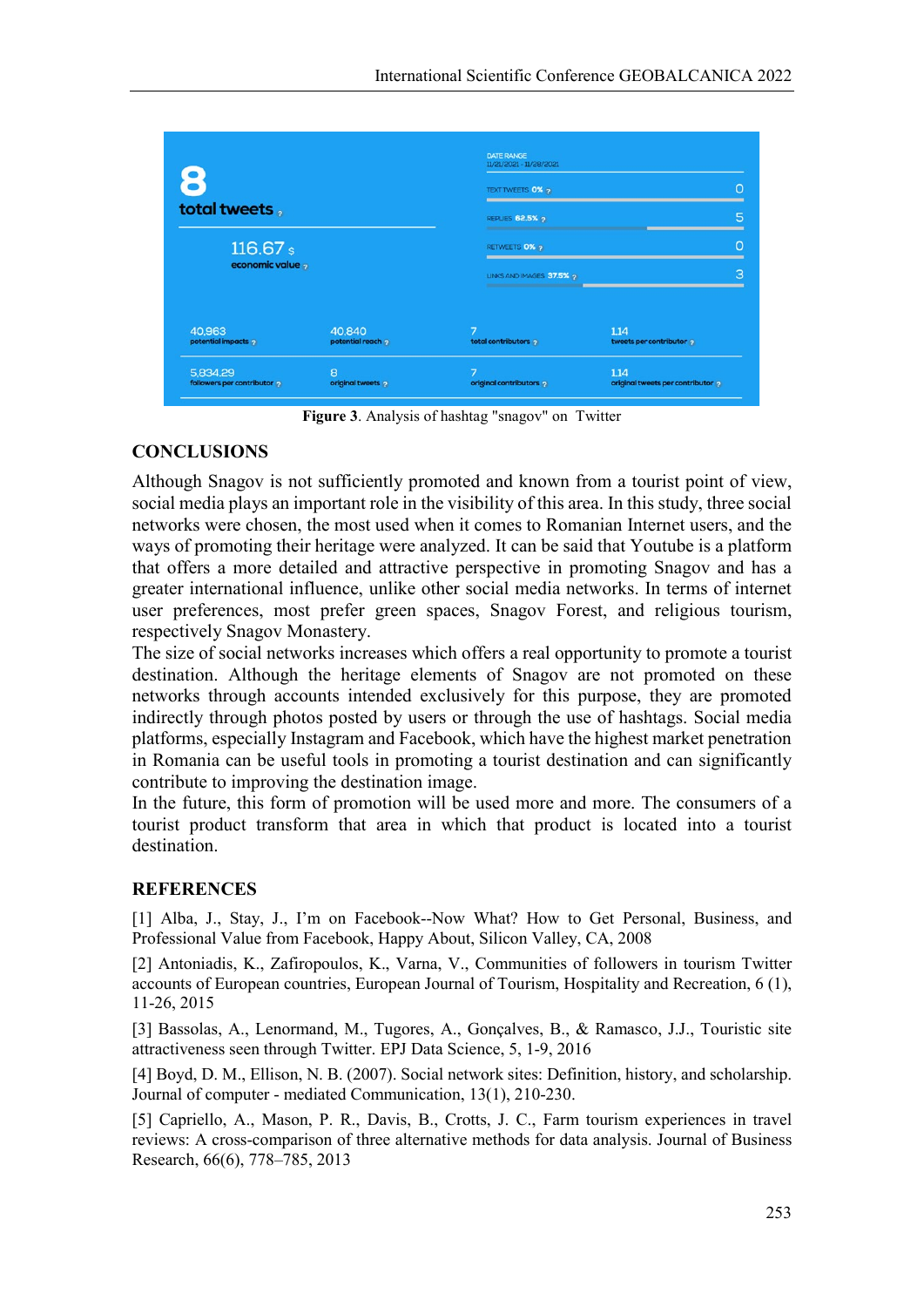|                                       |                           | <b>DATE RANGE</b><br>11/21/2021 - 11/28/2021 |                                         |
|---------------------------------------|---------------------------|----------------------------------------------|-----------------------------------------|
|                                       |                           | <b>TEXT TWEETS 0% ?</b>                      | 0                                       |
| total tweets,                         |                           | <b>REPLIES 62.5% 2</b>                       |                                         |
| 116.67 s                              |                           | RETWEETS 0% 2                                |                                         |
| economic value                        |                           | LINKS AND IMAGES 37.5% ?                     | З                                       |
| 40,963<br>potential impacts           | 40,840<br>potential reach | total contributors                           | 1.14<br>tweets per contributor          |
| 5,834.29<br>followers per contributor | 8<br>original tweets      | 7<br>original contributors                   | 1.14<br>original tweets per contributor |

**Figure 3**. Analysis of hashtag "snagov" on Twitter

## **CONCLUSIONS**

Although Snagov is not sufficiently promoted and known from a tourist point of view, social media plays an important role in the visibility of this area. In this study, three social networks were chosen, the most used when it comes to Romanian Internet users, and the ways of promoting their heritage were analyzed. It can be said that Youtube is a platform that offers a more detailed and attractive perspective in promoting Snagov and has a greater international influence, unlike other social media networks. In terms of internet user preferences, most prefer green spaces, Snagov Forest, and religious tourism, respectively Snagov Monastery.

The size of social networks increases which offers a real opportunity to promote a tourist destination. Although the heritage elements of Snagov are not promoted on these networks through accounts intended exclusively for this purpose, they are promoted indirectly through photos posted by users or through the use of hashtags. Social media platforms, especially Instagram and Facebook, which have the highest market penetration in Romania can be useful tools in promoting a tourist destination and can significantly contribute to improving the destination image.

In the future, this form of promotion will be used more and more. The consumers of a tourist product transform that area in which that product is located into a tourist destination.

## **REFERENCES**

[1] Alba, J., Stay, J., I'm on Facebook--Now What? How to Get Personal, Business, and Professional Value from Facebook, Happy About, Silicon Valley, CA, 2008

[2] Antoniadis, K., Zafiropoulos, K., Varna, V., Communities of followers in tourism Twitter accounts of European countries, European Journal of Tourism, Hospitality and Recreation, 6 (1), 11-26, 2015

[3] Bassolas, A., Lenormand, M., Tugores, A., Gonçalves, B., & Ramasco, J.J., Touristic site attractiveness seen through Twitter. EPJ Data Science, 5, 1-9, 2016

[4] Boyd, D. M., Ellison, N. B. (2007). Social network sites: Definition, history, and scholarship. Journal of computer ‐ mediated Communication, 13(1), 210-230.

[5] Capriello, A., Mason, P. R., Davis, B., Crotts, J. C., Farm tourism experiences in travel reviews: A cross-comparison of three alternative methods for data analysis. Journal of Business Research, 66(6), 778–785, 2013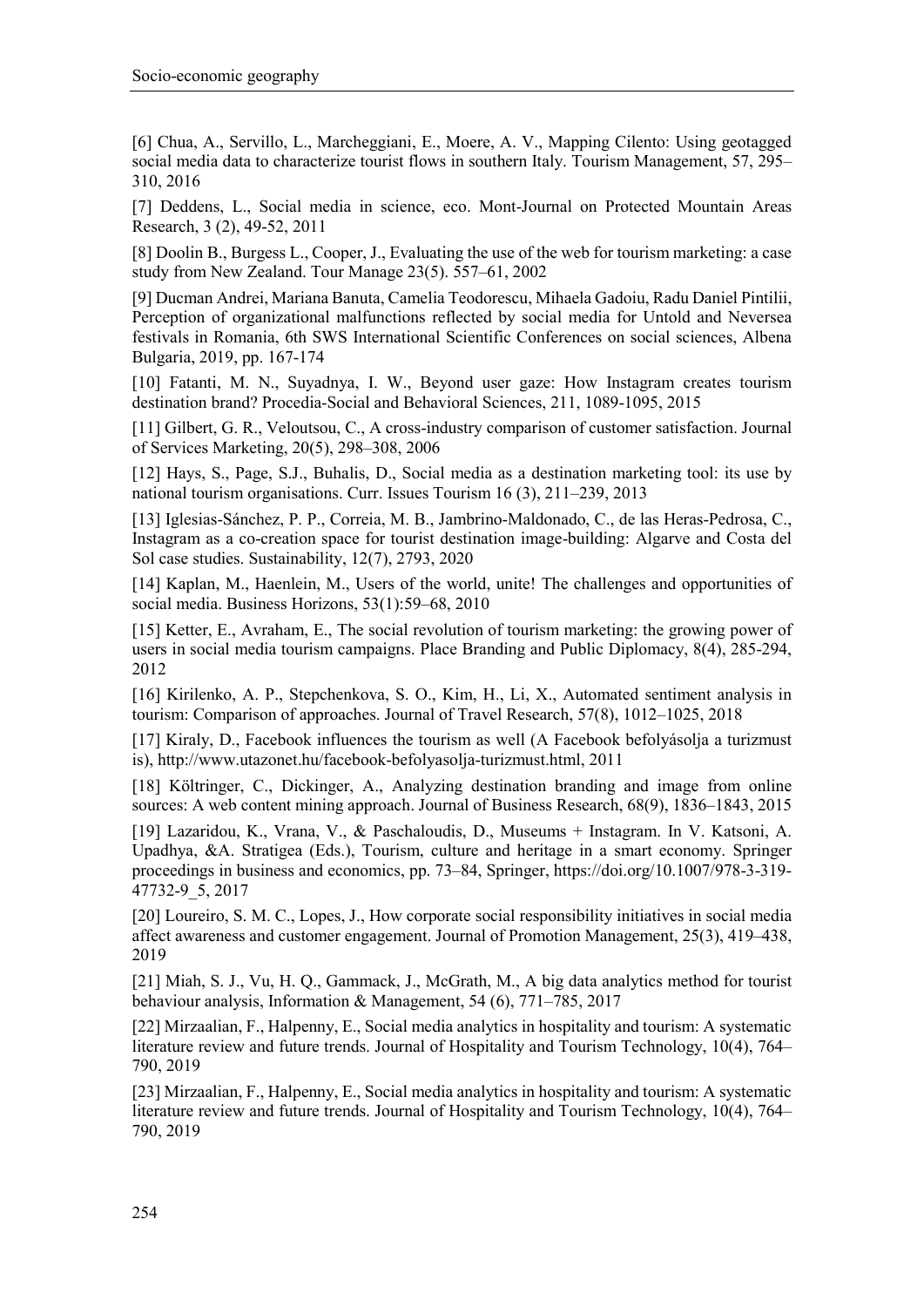[6] Chua, A., Servillo, L., Marcheggiani, E., Moere, A. V., Mapping Cilento: Using geotagged social media data to characterize tourist flows in southern Italy. Tourism Management, 57, 295– 310, 2016

[7] Deddens, L., Social media in science, eco. Mont-Journal on Protected Mountain Areas Research, 3 (2), 49-52, 2011

[8] Doolin B., Burgess L., Cooper, J., Evaluating the use of the web for tourism marketing: a case study from New Zealand. Tour Manage 23(5). 557–61, 2002

[9] Ducman Andrei, Mariana Banuta, Camelia Teodorescu, Mihaela Gadoiu, Radu Daniel Pintilii, Perception of organizational malfunctions reflected by social media for Untold and Neversea festivals in Romania, 6th SWS International Scientific Conferences on social sciences, Albena Bulgaria, 2019, pp. 167-174

[10] Fatanti, M. N., Suyadnya, I. W., Beyond user gaze: How Instagram creates tourism destination brand? Procedia-Social and Behavioral Sciences, 211, 1089-1095, 2015

[11] Gilbert, G. R., Veloutsou, C., A cross-industry comparison of customer satisfaction. Journal of Services Marketing, 20(5), 298–308, 2006

[12] Hays, S., Page, S.J., Buhalis, D., Social media as a destination marketing tool: its use by national tourism organisations. Curr. Issues Tourism 16 (3), 211–239, 2013

[13] Iglesias-Sánchez, P. P., Correia, M. B., Jambrino-Maldonado, C., de las Heras-Pedrosa, C., Instagram as a co-creation space for tourist destination image-building: Algarve and Costa del Sol case studies. Sustainability, 12(7), 2793, 2020

[14] Kaplan, M., Haenlein, M., Users of the world, unite! The challenges and opportunities of social media. Business Horizons, 53(1):59–68, 2010

[15] Ketter, E., Avraham, E., The social revolution of tourism marketing: the growing power of users in social media tourism campaigns. Place Branding and Public Diplomacy, 8(4), 285-294, 2012

[16] Kirilenko, A. P., Stepchenkova, S. O., Kim, H., Li, X., Automated sentiment analysis in tourism: Comparison of approaches. Journal of Travel Research, 57(8), 1012–1025, 2018

[17] Kiraly, D., Facebook influences the tourism as well (A Facebook befolyásolja a turizmust is), http://www.utazonet.hu/facebook-befolyasolja-turizmust.html, 2011

[18] Költringer, C., Dickinger, A., Analyzing destination branding and image from online sources: A web content mining approach. Journal of Business Research, 68(9), 1836–1843, 2015

[19] Lazaridou, K., Vrana, V., & Paschaloudis, D., Museums + Instagram. In V. Katsoni, A. Upadhya, &A. Stratigea (Eds.), Tourism, culture and heritage in a smart economy. Springer proceedings in business and economics, pp. 73–84, Springer, https://doi.org/10.1007/978-3-319- 47732-9\_5, 2017

[20] Loureiro, S. M. C., Lopes, J., How corporate social responsibility initiatives in social media affect awareness and customer engagement. Journal of Promotion Management, 25(3), 419–438, 2019

[21] Miah, S. J., Vu, H. Q., Gammack, J., McGrath, M., A big data analytics method for tourist behaviour analysis, Information & Management, 54 (6), 771–785, 2017

[22] Mirzaalian, F., Halpenny, E., Social media analytics in hospitality and tourism: A systematic literature review and future trends. Journal of Hospitality and Tourism Technology, 10(4), 764– 790, 2019

[23] Mirzaalian, F., Halpenny, E., Social media analytics in hospitality and tourism: A systematic literature review and future trends. Journal of Hospitality and Tourism Technology, 10(4), 764– 790, 2019